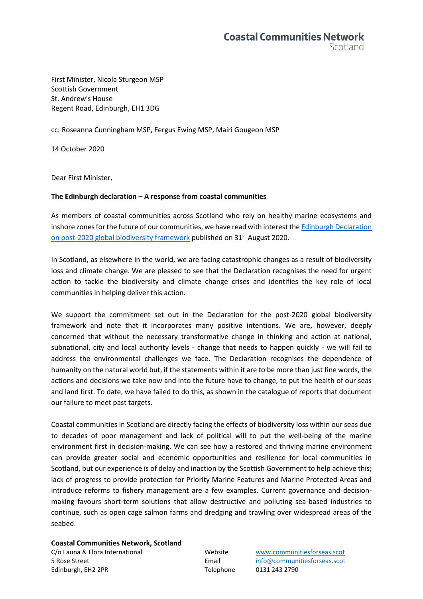First Minister, Nicola Sturgeon MSP Scottish Government St. Andrew's House Regent Road, Edinburgh, EH1 3DG

cc: Roseanna Cunningham MSP, Fergus Ewing MSP, Mairi Gougeon MSP

14 October 2020

Dear First Minister,

## **The Edinburgh declaration – A response from coastal communities**

As members of coastal communities across Scotland who rely on healthy marine ecosystems and inshore zones for the future of our communities, we have read with interest th[e Edinburgh Declaration](https://www.gov.scot/publications/edinburgh-declaration-on-post-2020-biodiversity-framework/)  [on post-2020 global biodiversity framework](https://www.gov.scot/publications/edinburgh-declaration-on-post-2020-biodiversity-framework/) published on 31<sup>st</sup> August 2020.

In Scotland, as elsewhere in the world, we are facing catastrophic changes as a result of biodiversity loss and climate change. We are pleased to see that the Declaration recognises the need for urgent action to tackle the biodiversity and climate change crises and identifies the key role of local communities in helping deliver this action.

We support the commitment set out in the Declaration for the post-2020 global biodiversity framework and note that it incorporates many positive intentions. We are, however, deeply concerned that without the necessary transformative change in thinking and action at national, subnational, city and local authority levels - change that needs to happen quickly - we will fail to address the environmental challenges we face. The Declaration recognises the dependence of humanity on the natural world but, if the statements within it are to be more than just fine words, the actions and decisions we take now and into the future have to change, to put the health of our seas and land first. To date, we have failed to do this, as shown in the catalogue of reports that document our failure to meet past targets.

Coastal communities in Scotland are directly facing the effects of biodiversity loss within our seas due to decades of poor management and lack of political will to put the well-being of the marine environment first in decision-making. We can see how a restored and thriving marine environment can provide greater social and economic opportunities and resilience for local communities in Scotland, but our experience is of delay and inaction by the Scottish Government to help achieve this; lack of progress to provide protection for Priority Marine Features and Marine Protected Areas and introduce reforms to fishery management are a few examples. Current governance and decisionmaking favours short-term solutions that allow destructive and polluting sea-based industries to continue, such as open cage salmon farms and dredging and trawling over widespread areas of the seabed.

## **Coastal Communities Network, Scotland**

C/o Fauna & Flora International Website [www.communitiesforseas.scot](http://www.communitiesforseas.scot/) 5 Rose Street Email [info@communitiesforseas.scot](mailto:info@communitiesforseas.scot) Edinburgh, EH2 2PR Telephone 0131 243 2790